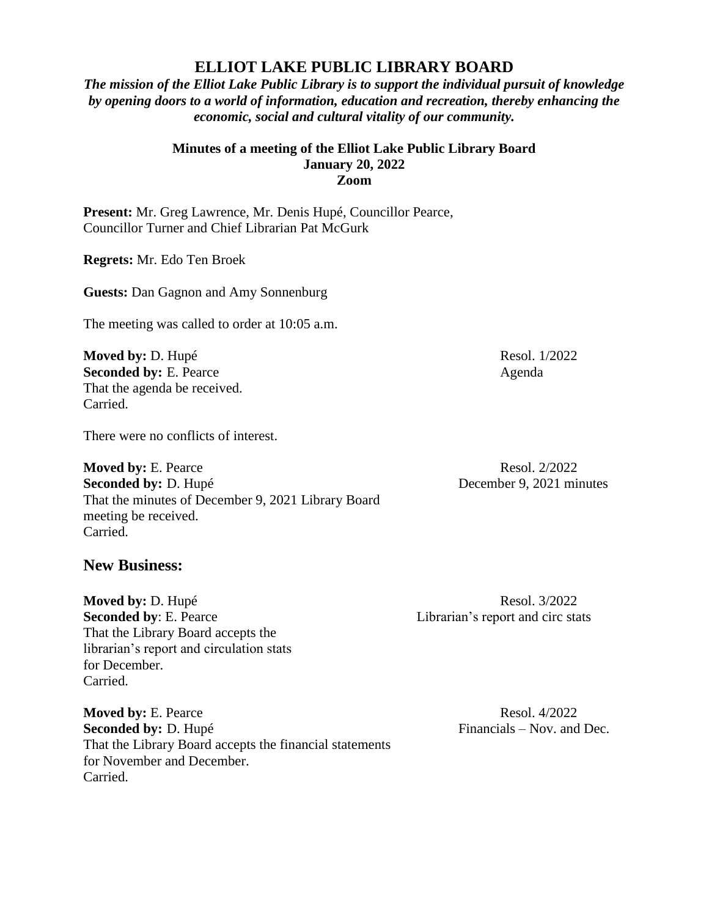## **ELLIOT LAKE PUBLIC LIBRARY BOARD**

*The mission of the Elliot Lake Public Library is to support the individual pursuit of knowledge by opening doors to a world of information, education and recreation, thereby enhancing the economic, social and cultural vitality of our community.*

## **Minutes of a meeting of the Elliot Lake Public Library Board January 20, 2022 Zoom**

**Present:** Mr. Greg Lawrence, Mr. Denis Hupé, Councillor Pearce, Councillor Turner and Chief Librarian Pat McGurk

**Regrets:** Mr. Edo Ten Broek

**Guests:** Dan Gagnon and Amy Sonnenburg

The meeting was called to order at 10:05 a.m.

**Moved by:** D. Hupé Resol. 1/2022 **Seconded by:** E. Pearce Agenda That the agenda be received. Carried.

There were no conflicts of interest.

**Moved by:** E. Pearce Resol. 2/2022 **Seconded by:** D. Hupé December 9, 2021 minutes That the minutes of December 9, 2021 Library Board meeting be received. Carried.

**New Business:**

**Moved by: D. Hupé Resol. 3/2022 Seconded by:** E. Pearce Librarian's report and circ stats That the Library Board accepts the librarian's report and circulation stats for December. Carried.

**Moved by: E. Pearce Resol. 4/2022 Seconded by:** D. Hupé Financials – Nov. and Dec. That the Library Board accepts the financial statements for November and December. Carried.